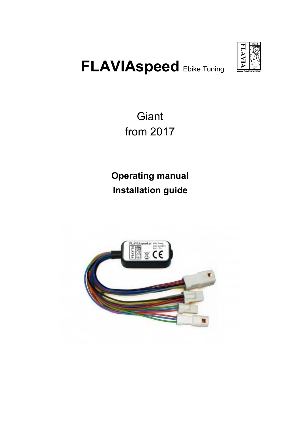

# **FLAVIAspeed** Ebike Tuning

**Giant** from 2017

**Operating manual Installation guide**

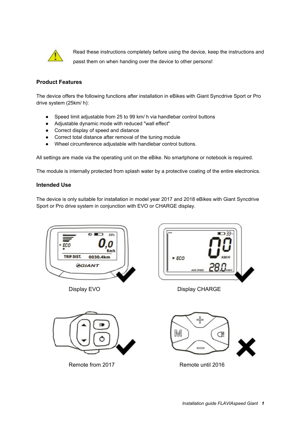

Read these instructions completely before using the device, keep the instructions and passt them on when handing over the device to other persons!

## **Product Features**

The device offers the following functions after installation in eBikes with Giant Syncdrive Sport or Pro drive system (25km/ h):

- Speed limit adjustable from 25 to 99 km/ h via handlebar control buttons
- Adjustable dynamic mode with reduced "wall effect"
- Correct display of speed and distance
- Correct total distance after removal of the tuning module
- Wheel circumference adjustable with handlebar control buttons.

All settings are made via the operating unit on the eBike. No smartphone or notebook is required.

The module is internally protected from splash water by a protective coating of the entire electronics.

#### **Intended Use**

The device is only suitable for installation in model year 2017 and 2018 eBikes with Giant Syncdrive Sport or Pro drive system in conjunction with EVO or CHARGE display.





Remote from 2017 Remote until 2016



Display EVO Display CHARGE

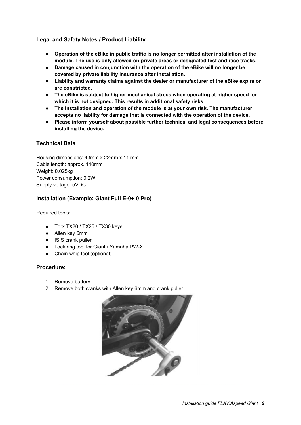## **Legal and Safety Notes / Product Liability**

- **● Operation of the eBike in public traffic is no longer permitted after installation of the module. The use is only allowed on private areas or designated test and race tracks.**
- **● Damage caused in conjunction with the operation of the eBike will no longer be covered by private liability insurance after installation.**
- **● Liability and warranty claims against the dealer or manufacturer of the eBike expire or are constricted.**
- **● The eBike is subject to higher mechanical stress when operating at higher speed for which it is not designed. This results in additional safety risks**
- **● The installation and operation of the module is at your own risk. The manufacturer accepts no liability for damage that is connected with the operation of the device.**
- **● Please inform yourself about possible further technical and legal consequences before installing the device.**

## **Technical Data**

Housing dimensions: 43mm x 22mm x 11 mm Cable length: approx. 140mm Weight: 0,025kg Power consumption: 0,2W Supply voltage: 5VDC.

## **Installation (Example: Giant Full E-0+ 0 Pro)**

Required tools:

- Torx TX20 / TX25 / TX30 keys
- Allen key 6mm
- ISIS crank puller
- Lock ring tool for Giant / Yamaha PW-X
- Chain whip tool (optional).

#### **Procedure:**

- 1. Remove battery.
- 2. Remove both cranks with Allen key 6mm and crank puller.

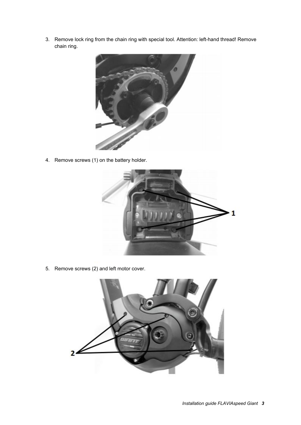3. Remove lock ring from the chain ring with special tool. Attention: left-hand thread! Remove chain ring.



4. Remove screws (1) on the battery holder.



5. Remove screws (2) and left motor cover.

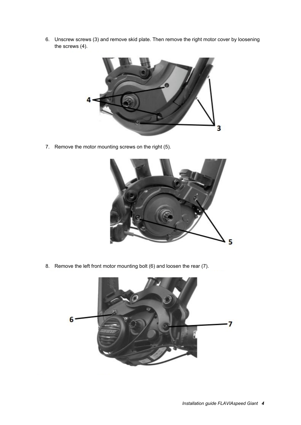6. Unscrew screws (3) and remove skid plate. Then remove the right motor cover by loosening the screws (4).



7. Remove the motor mounting screws on the right (5).



8. Remove the left front motor mounting bolt (6) and loosen the rear (7).

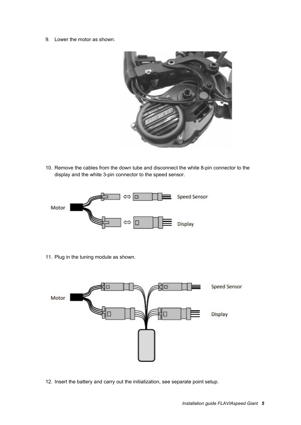9. Lower the motor as shown.



10. Remove the cables from the down tube and disconnect the white 8-pin connector to the display and the white 3-pin connector to the speed sensor.



11. Plug in the tuning module as shown.



12. Insert the battery and carry out the initialization, see separate point setup.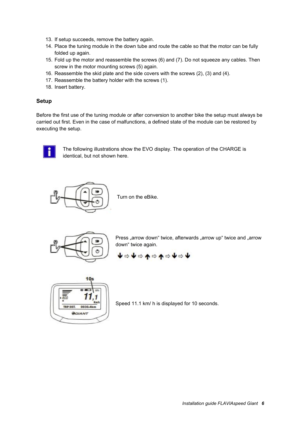- 13. If setup succeeds, remove the battery again.
- 14. Place the tuning module in the down tube and route the cable so that the motor can be fully folded up again.
- 15. Fold up the motor and reassemble the screws (6) and (7). Do not squeeze any cables. Then screw in the motor mounting screws (5) again.
- 16. Reassemble the skid plate and the side covers with the screws (2), (3) and (4).
- 17. Reassemble the battery holder with the screws (1).
- 18. Insert battery.

#### **Setup**

Before the first use of the tuning module or after conversion to another bike the setup must always be carried out first. Even in the case of malfunctions, a defined state of the module can be restored by executing the setup.



The following illustrations show the EVO display. The operation of the CHARGE is identical, but not shown here.



Turn on the eBike.



Press "arrow down" twice, afterwards "arrow up" twice and "arrow down" twice again.

$$
\blacklozenge \Leftrightarrow \blacklozenge \Leftrightarrow \blacklozenge \Leftrightarrow \blacklozenge \Leftrightarrow \blacklozenge \Leftrightarrow \blacklozenge
$$



Speed 11.1 km/ h is displayed for 10 seconds.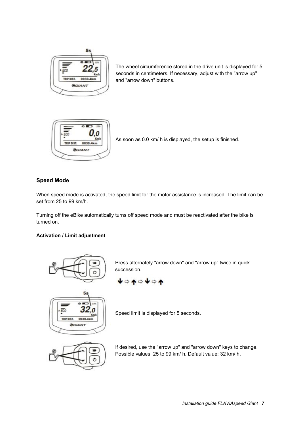

The wheel circumference stored in the drive unit is displayed for 5 seconds in centimeters. If necessary, adjust with the "arrow up" and "arrow down" buttons.



As soon as 0.0 km/ h is displayed, the setup is finished.

# **Speed Mode**

When speed mode is activated, the speed limit for the motor assistance is increased. The limit can be set from 25 to 99 km/h.

Turning off the eBike automatically turns off speed mode and must be reactivated after the bike is turned on.

### **Activation / Limit adjustment**





Press alternately "arrow down" and "arrow up" twice in quick succession.





Speed limit is displayed for 5 seconds.



If desired, use the "arrow up" and "arrow down" keys to change. Possible values: 25 to 99 km/ h. Default value: 32 km/ h.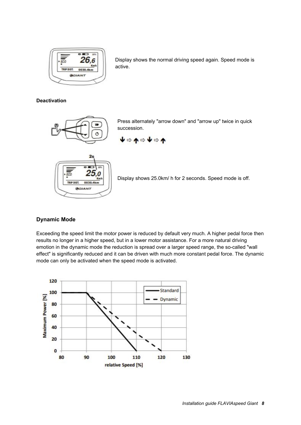

Display shows the normal driving speed again. Speed mode is active.

#### **Deactivation**



Press alternately "arrow down" and "arrow up" twice in quick succession.

$$
\blacklozenge \Leftrightarrow \blacklozenge \blacklozenge \blacklozenge \blacklozenge
$$



Display shows 25.0km/ h for 2 seconds. Speed mode is off.

#### **Dynamic Mode**

Exceeding the speed limit the motor power is reduced by default very much. A higher pedal force then results no longer in a higher speed, but in a lower motor assistance. For a more natural driving emotion in the dynamic mode the reduction is spread over a larger speed range, the so-called "wall effect" is significantly reduced and it can be driven with much more constant pedal force. The dynamic mode can only be activated when the speed mode is activated.

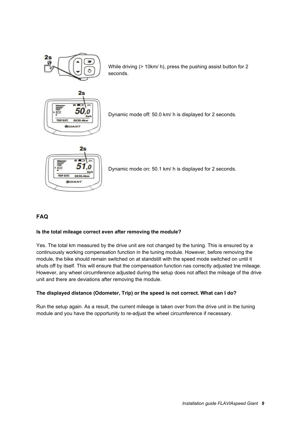

While driving (> 10km/ h), press the pushing assist button for 2 seconds.



Dynamic mode off: 50.0 km/ h is displayed for 2 seconds.



Dynamic mode on: 50.1 km/ h is displayed for 2 seconds.

## **FAQ**

#### **Is the total mileage correct even after removing the module?**

Yes. The total km measured by the drive unit are not changed by the tuning. This is ensured by a continuously working compensation function in the tuning module. However, before removing the module, the bike should remain switched on at standstill with the speed mode switched on until it shuts off by itself. This will ensure that the compensation function nas correctly adjusted tne mileage. However, any wheel circumference adjusted during the setup does not affect the mileage of the drive unit and there are deviations after removing the module.

#### **The displayed distance (Odometer, Trip) or the speed is not correct. What can I do?**

Run the setup again. As a result, the current mileage is taken over from the drive unit in the tuning module and you have the opportunity to re-adjust the wheel circumference if necessary.